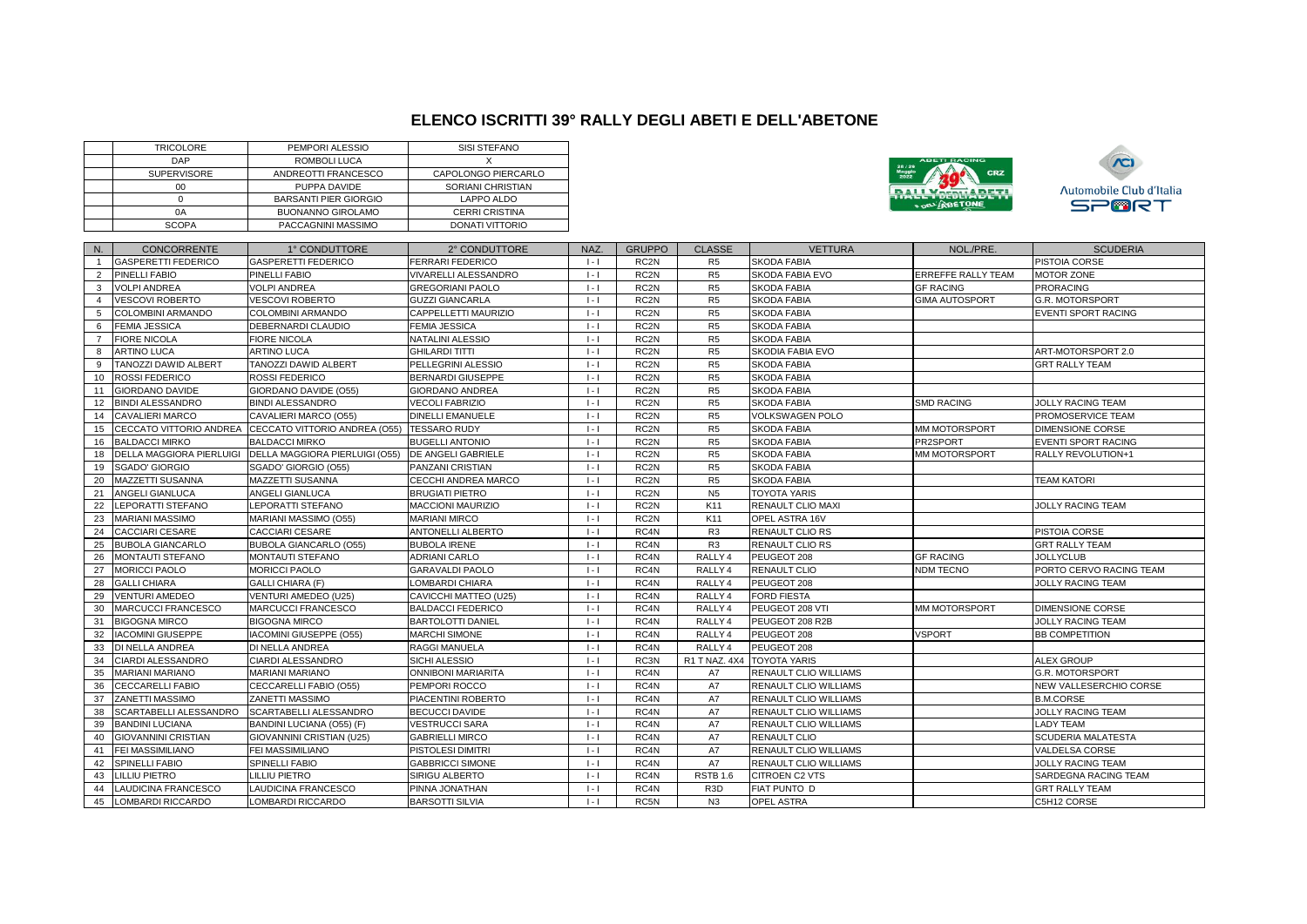## **ELENCO ISCRITTI 39° RALLY DEGLI ABETI E DELL'ABETONE**

|                | <b>TRICOLORE</b><br>DAP                   | PEMPORI ALESSIO<br>ROMBOLI LUCA             | <b>SISI STEFANO</b><br>Χ          |                       |                   |                                  |                                      |                      |                                  |
|----------------|-------------------------------------------|---------------------------------------------|-----------------------------------|-----------------------|-------------------|----------------------------------|--------------------------------------|----------------------|----------------------------------|
|                |                                           |                                             |                                   |                       |                   |                                  |                                      |                      |                                  |
|                | SUPERVISORE                               | ANDREOTTI FRANCESCO                         | CAPOLONGO PIERCARLO               |                       |                   |                                  |                                      |                      |                                  |
|                | 00                                        | PUPPA DAVIDE                                | SORIANI CHRISTIAN                 |                       |                   |                                  |                                      |                      | <b>Automobile Club d'Italia</b>  |
|                | $\mathsf 0$                               | <b>BARSANTI PIER GIORGIO</b>                | LAPPO ALDO                        |                       |                   |                                  |                                      | <b>E DEL'ABETONE</b> | <b>SPORT</b>                     |
|                | 0A                                        | <b>BUONANNO GIROLAMO</b>                    | <b>CERRI CRISTINA</b>             |                       |                   |                                  |                                      |                      |                                  |
|                | <b>SCOPA</b>                              | PACCAGNINI MASSIMO                          | <b>DONATI VITTORIO</b>            |                       |                   |                                  |                                      |                      |                                  |
|                |                                           |                                             |                                   |                       |                   |                                  |                                      |                      |                                  |
| N.             | <b>CONCORRENTE</b><br>GASPERETTI FEDERICO | 1° CONDUTTORE<br><b>GASPERETTI FEDERICO</b> | 2° CONDUTTORE<br>FERRARI FEDERICO | <b>NAZ</b><br>$1 - 1$ | <b>GRUPPO</b>     | <b>CLASSE</b>                    | <b>VETTURA</b><br><b>SKODA FABIA</b> | NOL./PRE.            | <b>SCUDERIA</b><br>PISTOIA CORSE |
| 2              | PINELLI FABIO                             |                                             | VIVARELLI ALESSANDRO              |                       | RC <sub>2N</sub>  | R <sub>5</sub><br>R <sub>5</sub> |                                      |                      |                                  |
| $\mathbf{3}$   |                                           | PINELLI FABIO                               |                                   | $\vert \cdot \vert$   | RC <sub>2N</sub>  | R <sub>5</sub>                   | SKODA FABIA EVO                      | ERREFFE RALLY TEAM   | <b>MOTOR ZONE</b>                |
|                | <b>VOLPI ANDREA</b>                       | <b>VOLPI ANDREA</b>                         | <b>GREGORIANI PAOLO</b>           | $  -  $               | RC <sub>2N</sub>  |                                  | <b>SKODA FABIA</b>                   | <b>GF RACING</b>     | <b>PRORACING</b>                 |
| $\overline{4}$ | VESCOVI ROBERTO                           | VESCOVI ROBERTO                             | <b>GUZZI GIANCARLA</b>            | $1 - 1$               | RC <sub>2N</sub>  | R <sub>5</sub>                   | <b>SKODA FABIA</b>                   | GIMA AUTOSPORT       | G.R. MOTORSPORT                  |
| 5              | COLOMBINI ARMANDO                         | COLOMBINI ARMANDO                           | CAPPELLETTI MAURIZIO              | $\vert \cdot \vert$   | RC <sub>2N</sub>  | R <sub>5</sub>                   | <b>SKODA FABIA</b>                   |                      | <b>EVENTI SPORT RACING</b>       |
| 6              | <b>FEMIA JESSICA</b>                      | DEBERNARDI CLAUDIO                          | <b>FEMIA JESSICA</b>              | $\vert \cdot \vert$   | RC <sub>2N</sub>  | R <sub>5</sub>                   | <b>SKODA FABIA</b>                   |                      |                                  |
| $\overline{7}$ | <b>FIORE NICOLA</b>                       | <b>FIORE NICOLA</b>                         | NATALINI ALESSIO                  | $\vert \cdot \vert$   | RC <sub>2N</sub>  | R <sub>5</sub>                   | <b>SKODA FABIA</b>                   |                      |                                  |
| 8              | ARTINO LUCA                               | ARTINO LUCA                                 | <b>GHILARDI TITTI</b>             | $  -  $               | RC <sub>2N</sub>  | R <sub>5</sub>                   | SKODIA FABIA EVO                     |                      | ART-MOTORSPORT 2.0               |
| 9              | TANOZZI DAWID ALBERT                      | TANOZZI DAWID ALBERT                        | PELLEGRINI ALESSIO                | $\vert \cdot \vert$   | RC <sub>2N</sub>  | R <sub>5</sub>                   | <b>SKODA FABIA</b>                   |                      | <b>GRT RALLY TEAM</b>            |
| 10             | ROSSI FEDERICO                            | ROSSI FEDERICO                              | <b>BERNARDI GIUSEPPE</b>          | $  -  $               | RC <sub>2N</sub>  | R <sub>5</sub>                   | <b>SKODA FABIA</b>                   |                      |                                  |
| 11             | <b>GIORDANO DAVIDE</b>                    | GIORDANO DAVIDE (O55)                       | <b>GIORDANO ANDREA</b>            | $\vert \cdot \vert$   | RC <sub>2N</sub>  | R <sub>5</sub>                   | <b>SKODA FABIA</b>                   |                      |                                  |
| 12             | <b>BINDI ALESSANDRO</b>                   | BINDI ALESSANDRO                            | <b>VECOLI FABRIZIO</b>            | $\vert \cdot \vert$   | RC <sub>2N</sub>  | R <sub>5</sub>                   | <b>SKODA FABIA</b>                   | <b>SMD RACING</b>    | JOLLY RACING TEAM                |
| 14             | <b>CAVALIERI MARCO</b>                    | CAVALIERI MARCO (O55)                       | <b>DINELLI EMANUELE</b>           | $  -  $               | RC <sub>2N</sub>  | R <sub>5</sub>                   | VOLKSWAGEN POLO                      |                      | PROMOSERVICE TEAM                |
| 15             | CECCATO VITTORIO ANDREA                   | CECCATO VITTORIO ANDREA (O55) TESSARO RUDY  |                                   | $\vert \cdot \vert$   | RC <sub>2N</sub>  | R <sub>5</sub>                   | <b>SKODA FABIA</b>                   | MM MOTORSPORT        | <b>DIMENSIONE CORSE</b>          |
| 16             | <b>BALDACCI MIRKO</b>                     | <b>BALDACCI MIRKO</b>                       | <b>BUGELLI ANTONIO</b>            | $1 - 1$               | RC <sub>2N</sub>  | R <sub>5</sub>                   | <b>SKODA FABIA</b>                   | PR2SPORT             | <b>EVENTI SPORT RACING</b>       |
| 18             | <b>DELLA MAGGIORA PIERLUIGI</b>           | DELLA MAGGIORA PIERLUIGI (055)              | <b>DE ANGELI GABRIELE</b>         | $\vert \cdot \vert$   | RC <sub>2N</sub>  | R <sub>5</sub>                   | <b>SKODA FABIA</b>                   | MM MOTORSPORT        | RALLY REVOLUTION+1               |
| 19             | <b>SGADO' GIORGIO</b>                     | SGADO' GIORGIO (O55)                        | PANZANI CRISTIAN                  | $\vert \cdot \vert$   | RC <sub>2N</sub>  | R <sub>5</sub>                   | <b>SKODA FABIA</b>                   |                      |                                  |
| 20             | MAZZETTI SUSANNA                          | MAZZETTI SUSANNA                            | CECCHI ANDREA MARCO               | $\vert \cdot \vert$   | RC <sub>2N</sub>  | R <sub>5</sub>                   | <b>SKODA FABIA</b>                   |                      | <b>TEAM KATORI</b>               |
| 21             | ANGELI GIANLUCA                           | ANGELI GIANLUCA                             | <b>BRUGIATI PIETRO</b>            | $  -  $               | RC <sub>2N</sub>  | N <sub>5</sub>                   | <b>TOYOTA YARIS</b>                  |                      |                                  |
| 22             | LEPORATTI STEFANO                         | <b>LEPORATTI STEFANO</b>                    | <b>MACCIONI MAURIZIO</b>          | $\vert \cdot \vert$   | RC <sub>2N</sub>  | K11                              | RENAULT CLIO MAXI                    |                      | <b>JOLLY RACING TEAM</b>         |
| 23             | <b>MARIANI MASSIMO</b>                    | MARIANI MASSIMO (O55)                       | <b>MARIANI MIRCO</b>              | $\vert \cdot \vert$   | RC <sub>2N</sub>  | K11                              | OPEL ASTRA 16V                       |                      |                                  |
| 24             | <b>CACCIARI CESARE</b>                    | <b>CACCIARI CESARE</b>                      | ANTONELLI ALBERTO                 | $\vert \cdot \vert$   | RC4N              | R <sub>3</sub>                   | RENAULT CLIO RS                      |                      | PISTOIA CORSE                    |
| 25             | <b>BUBOLA GIANCARLO</b>                   | <b>BUBOLA GIANCARLO (O55)</b>               | <b>BUBOLA IRENE</b>               | $1 - 1$               | RC4N              | R <sub>3</sub>                   | <b>RENAULT CLIO RS</b>               |                      | <b>GRT RALLY TEAM</b>            |
| 26             | <b>MONTAUTI STEFANO</b>                   | <b>MONTAUTI STEFANO</b>                     | <b>ADRIANI CARLO</b>              | $\vert \cdot \vert$   | RC <sub>4</sub> N | RALLY <sub>4</sub>               | PEUGEOT 208                          | <b>GF RACING</b>     | <b>JOLLYCLUB</b>                 |
| 27             | MORICCI PAOLO                             | <b>MORICCI PAOLO</b>                        | GARAVALDI PAOLO                   | $  -  $               | RC4N              | RALLY 4                          | <b>RENAULT CLIO</b>                  | <b>NDM TECNO</b>     | PORTO CERVO RACING TEAM          |
| 28             | <b>GALLI CHIARA</b>                       | <b>GALLI CHIARA (F)</b>                     | LOMBARDI CHIARA                   | $  -  $               | RC4N              | RALLY 4                          | PEUGEOT 208                          |                      | <b>JOLLY RACING TEAM</b>         |
| 29             | <b>VENTURI AMEDEO</b>                     | VENTURI AMEDEO (U25)                        | CAVICCHI MATTEO (U25)             | $\vert \cdot \vert$   | RC4N              | RALLY 4                          | <b>FORD FIESTA</b>                   |                      |                                  |
| 30             | MARCUCCI FRANCESCO                        | MARCUCCI FRANCESCO                          | <b>BALDACCI FEDERICO</b>          | $\vert \cdot \vert$   | RC4N              | RALLY 4                          | PEUGEOT 208 VTI                      | MM MOTORSPORT        | <b>DIMENSIONE CORSE</b>          |
| 31             | <b>BIGOGNA MIRCO</b>                      | <b>BIGOGNA MIRCO</b>                        | <b>BARTOLOTTI DANIEL</b>          | $\vert \cdot \vert$   | RC4N              | RALLY 4                          | PEUGEOT 208 R2B                      |                      | <b>JOLLY RACING TEAM</b>         |
| 32             | <b>IACOMINI GIUSEPPE</b>                  | IACOMINI GIUSEPPE (O55)                     | <b>MARCHI SIMONE</b>              | $\vert \cdot \vert$   | RC4N              | RALLY 4                          | PEUGEOT 208                          | VSPORT               | <b>BB COMPETITION</b>            |
| 33             | DI NELLA ANDREA                           | DI NELLA ANDREA                             | RAGGI MANUELA                     | $1 - 1$               | RC <sub>4</sub> N | RALLY 4                          | PEUGEOT 208                          |                      |                                  |
| 34             | CIARDI ALESSANDRO                         | CIARDI ALESSANDRO                           | SICHI ALESSIO                     | $\vert \cdot \vert$   | RC3N              | R1 T NAZ, 4X4                    | <b>TOYOTA YARIS</b>                  |                      | <b>ALEX GROUP</b>                |
| 35             | <b>MARIANI MARIANO</b>                    | MARIANI MARIANO                             | <b>ONNIBONI MARIARITA</b>         | $  -  $               | RC4N              | A7                               | RENAULT CLIO WILLIAMS                |                      | G.R. MOTORSPORT                  |
| 36             | <b>CECCARELLI FABIO</b>                   | CECCARELLI FABIO (O55)                      | PEMPORI ROCCO                     | $  -  $               | RC4N              | A7                               | RENAULT CLIO WILLIAMS                |                      | NEW VALLESERCHIO CORSE           |
| 37             | ZANETTI MASSIMO                           | ZANETTI MASSIMO                             | PIACENTINI ROBERTO                | $  -  $               | RC4N              | A7                               | RENAULT CLIO WILLIAMS                |                      | <b>B.M.CORSE</b>                 |
| 38             | SCARTABELLI ALESSANDRO                    | SCARTABELLI ALESSANDRO                      | <b>BECUCCI DAVIDE</b>             | $\vert \cdot \vert$   | RC4N              | A7                               | RENAULT CLIO WILLIAMS                |                      | <b>JOLLY RACING TEAM</b>         |
| 39             | <b>BANDINI LUCIANA</b>                    | BANDINI LUCIANA (O55) (F)                   | <b>VESTRUCCI SARA</b>             | $\vert \cdot \vert$   | RC4N              | A7                               | RENAULT CLIO WILLIAMS                |                      | <b>LADY TEAM</b>                 |
| 40             | <b>GIOVANNINI CRISTIAN</b>                | GIOVANNINI CRISTIAN (U25)                   | <b>GABRIELLI MIRCO</b>            | $1 - 1$               | RC4N              | A7                               | RENAULT CLIO                         |                      | SCUDERIA MALATESTA               |
| 41             | FEI MASSIMILIANO                          | FEI MASSIMILIANO                            | PISTOLESI DIMITRI                 | $\vert \cdot \vert$   | RC4N              | A7                               | RENAULT CLIO WILLIAMS                |                      | VALDELSA CORSE                   |
| 42             | SPINELLI FABIO                            | <b>SPINELLI FABIO</b>                       | <b>GABBRICCI SIMONE</b>           | $\vert \cdot \vert$   | RC4N              | A7                               | RENAULT CLIO WILLIAMS                |                      | <b>JOLLY RACING TEAM</b>         |
| 43             | <b>LILLIU PIETRO</b>                      | <b>LILLIU PIETRO</b>                        | SIRIGU ALBERTO                    | $\vert \cdot \vert$   | RC4N              | <b>RSTB 1.6</b>                  | CITROEN C2 VTS                       |                      | SARDEGNA RACING TEAM             |
| 44             | LAUDICINA FRANCESCO                       | LAUDICINA FRANCESCO                         | PINNA JONATHAN                    | $\vert \cdot \vert$   | RC4N              | R <sub>3</sub> D                 | FIAT PUNTO D                         |                      | <b>GRT RALLY TEAM</b>            |
|                | 45 LOMBARDI RICCARDO                      | LOMBARDI RICCARDO                           | <b>BARSOTTI SILVIA</b>            | $1 - 1$               | RC5N              | N3                               | OPEL ASTRA                           |                      | C5H12 CORSE                      |
|                |                                           |                                             |                                   |                       |                   |                                  |                                      |                      |                                  |